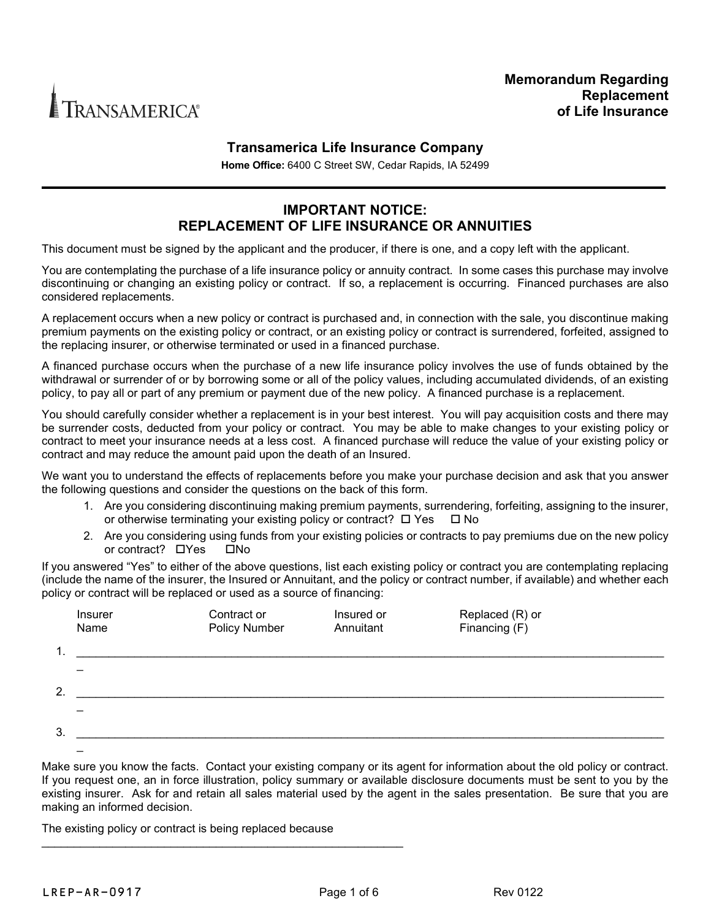

## **Transamerica Life Insurance Company**

**Home Office:** 6400 C Street SW, Cedar Rapids, IA 52499

## **IMPORTANT NOTICE: REPLACEMENT OF LIFE INSURANCE OR ANNUITIES**

This document must be signed by the applicant and the producer, if there is one, and a copy left with the applicant.

You are contemplating the purchase of a life insurance policy or annuity contract. In some cases this purchase may involve discontinuing or changing an existing policy or contract. If so, a replacement is occurring. Financed purchases are also considered replacements.

A replacement occurs when a new policy or contract is purchased and, in connection with the sale, you discontinue making premium payments on the existing policy or contract, or an existing policy or contract is surrendered, forfeited, assigned to the replacing insurer, or otherwise terminated or used in a financed purchase.

A financed purchase occurs when the purchase of a new life insurance policy involves the use of funds obtained by the withdrawal or surrender of or by borrowing some or all of the policy values, including accumulated dividends, of an existing policy, to pay all or part of any premium or payment due of the new policy. A financed purchase is a replacement.

You should carefully consider whether a replacement is in your best interest. You will pay acquisition costs and there may be surrender costs, deducted from your policy or contract. You may be able to make changes to your existing policy or contract to meet your insurance needs at a less cost. A financed purchase will reduce the value of your existing policy or contract and may reduce the amount paid upon the death of an Insured.

We want you to understand the effects of replacements before you make your purchase decision and ask that you answer the following questions and consider the questions on the back of this form.

- 1. Are you considering discontinuing making premium payments, surrendering, forfeiting, assigning to the insurer, or otherwise terminating your existing policy or contract?  $\Box$  Yes  $\Box$  No
- 2. Are you considering using funds from your existing policies or contracts to pay premiums due on the new policy or contract? Yes No

If you answered "Yes" to either of the above questions, list each existing policy or contract you are contemplating replacing (include the name of the insurer, the Insured or Annuitant, and the policy or contract number, if available) and whether each policy or contract will be replaced or used as a source of financing:

|    | <b>Insurer</b><br>Name | Contract or<br><b>Policy Number</b> | Insured or<br>Annuitant | Replaced (R) or<br>Financing $(F)$ |
|----|------------------------|-------------------------------------|-------------------------|------------------------------------|
| 1. |                        |                                     |                         |                                    |
|    |                        |                                     |                         |                                    |
| 2. |                        |                                     |                         |                                    |
|    |                        |                                     |                         |                                    |
| 3. |                        |                                     |                         |                                    |
|    |                        |                                     |                         |                                    |

Make sure you know the facts. Contact your existing company or its agent for information about the old policy or contract. If you request one, an in force illustration, policy summary or available disclosure documents must be sent to you by the existing insurer. Ask for and retain all sales material used by the agent in the sales presentation. Be sure that you are making an informed decision.

The existing policy or contract is being replaced because

\_\_\_\_\_\_\_\_\_\_\_\_\_\_\_\_\_\_\_\_\_\_\_\_\_\_\_\_\_\_\_\_\_\_\_\_\_\_\_\_\_\_\_\_\_\_\_\_\_\_\_\_\_\_\_\_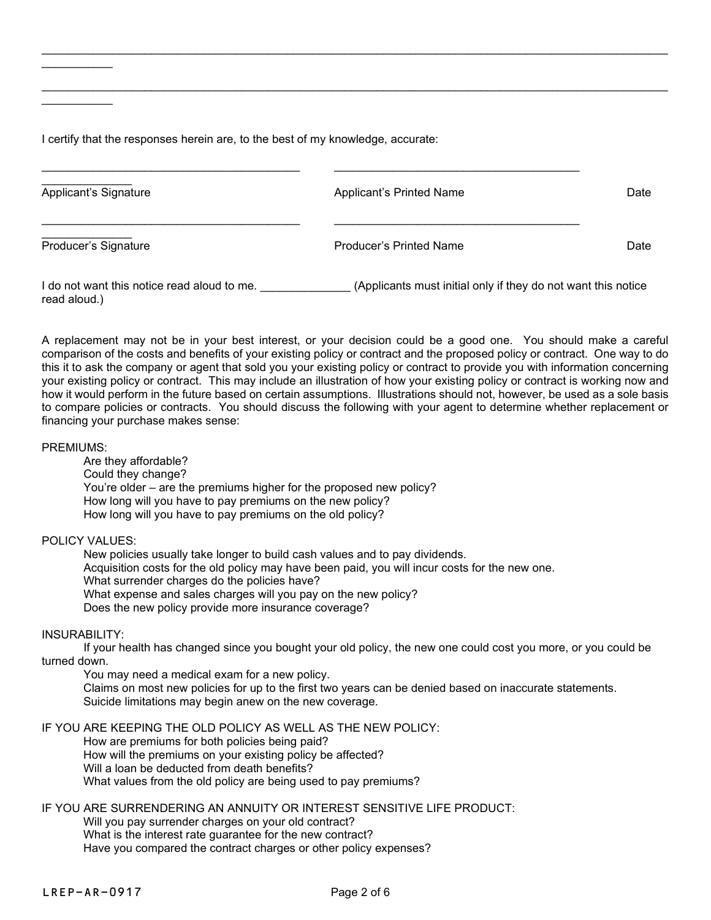I certify that the responses herein are, to the best of my knowledge, accurate:

| Applicant's Signature                                       | Applicant's Printed Name                                      | Date |
|-------------------------------------------------------------|---------------------------------------------------------------|------|
| Producer's Signature                                        | <b>Producer's Printed Name</b>                                | Date |
| I do not want this notice read aloud to me.<br>read aloud.) | (Applicants must initial only if they do not want this notice |      |

\_\_\_\_\_\_\_\_\_\_\_\_\_\_\_\_\_\_\_\_\_\_\_\_\_\_\_\_\_\_\_\_\_\_\_\_\_\_\_\_\_\_\_\_\_\_\_\_\_\_\_\_\_\_\_\_\_\_\_\_\_\_\_\_\_\_\_\_\_\_\_\_\_\_\_\_\_\_\_\_\_\_\_\_\_\_\_\_\_\_\_\_\_\_\_\_\_

\_\_\_\_\_\_\_\_\_\_\_\_\_\_\_\_\_\_\_\_\_\_\_\_\_\_\_\_\_\_\_\_\_\_\_\_\_\_\_\_\_\_\_\_\_\_\_\_\_\_\_\_\_\_\_\_\_\_\_\_\_\_\_\_\_\_\_\_\_\_\_\_\_\_\_\_\_\_\_\_\_\_\_\_\_\_\_\_\_\_\_\_\_\_\_\_\_

A replacement may not be in your best interest, or your decision could be a good one. You should make a careful comparison of the costs and benefits of your existing policy or contract and the proposed policy or contract. One way to do this it to ask the company or agent that sold you your existing policy or contract to provide you with information concerning your existing policy or contract. This may include an illustration of how your existing policy or contract is working now and how it would perform in the future based on certain assumptions. Illustrations should not, however, be used as a sole basis to compare policies or contracts. You should discuss the following with your agent to determine whether replacement or financing your purchase makes sense:

PREMIUMS:

\_\_\_\_\_\_\_\_\_\_\_

\_\_\_\_\_\_\_\_\_\_\_

Are they affordable? Could they change? You're older – are the premiums higher for the proposed new policy? How long will you have to pay premiums on the new policy? How long will you have to pay premiums on the old policy?

POLICY VALUES:

New policies usually take longer to build cash values and to pay dividends. Acquisition costs for the old policy may have been paid, you will incur costs for the new one. What surrender charges do the policies have? What expense and sales charges will you pay on the new policy? Does the new policy provide more insurance coverage?

INSURABILITY:

If your health has changed since you bought your old policy, the new one could cost you more, or you could be turned down.

You may need a medical exam for a new policy. Claims on most new policies for up to the first two years can be denied based on inaccurate statements. Suicide limitations may begin anew on the new coverage.

IF YOU ARE KEEPING THE OLD POLICY AS WELL AS THE NEW POLICY: How are premiums for both policies being paid? How will the premiums on your existing policy be affected? Will a loan be deducted from death benefits? What values from the old policy are being used to pay premiums?

IF YOU ARE SURRENDERING AN ANNUITY OR INTEREST SENSITIVE LIFE PRODUCT:

Will you pay surrender charges on your old contract? What is the interest rate guarantee for the new contract? Have you compared the contract charges or other policy expenses?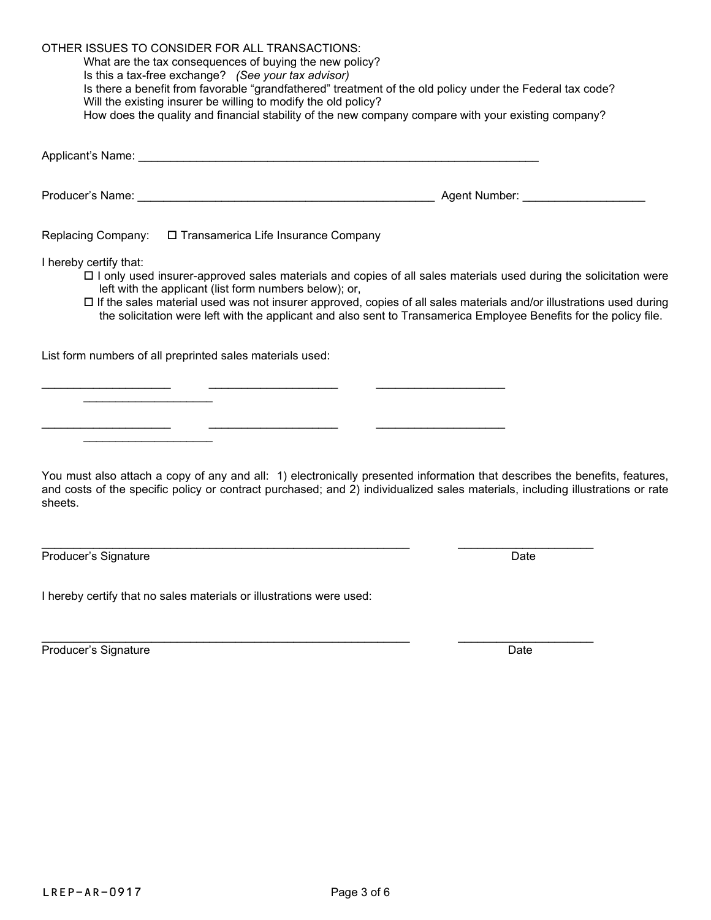OTHER ISSUES TO CONSIDER FOR ALL TRANSACTIONS: What are the tax consequences of buying the new policy?

Is this a tax-free exchange? *(See your tax advisor)* Is there a benefit from favorable "grandfathered" treatment of the old policy under the Federal tax code?

 $\_$  . The contribution of the contribution of  $\_$  . The contribution of  $\_$  ,  $\_$  ,  $\_$  ,  $\_$  ,  $\_$  ,  $\_$  ,  $\_$  ,  $\_$  ,  $\_$  ,  $\_$  ,  $\_$  ,  $\_$  ,  $\_$  ,  $\_$  ,  $\_$  ,  $\_$  ,  $\_$  ,  $\_$  ,  $\_$  ,  $\_$  ,  $\_$  ,  $\_$  ,  $\_$  ,  $\_$  ,  $\_$  ,

\_\_\_\_\_\_\_\_\_\_\_\_\_\_\_\_\_\_\_\_ \_\_\_\_\_\_\_\_\_\_\_\_\_\_\_\_\_\_\_\_ \_\_\_\_\_\_\_\_\_\_\_\_\_\_\_\_\_\_\_\_

Will the existing insurer be willing to modify the old policy? How does the quality and financial stability of the new company compare with your existing company?

Producer's Name: \_\_\_\_\_\_\_\_\_\_\_\_\_\_\_\_\_\_\_\_\_\_\_\_\_\_\_\_\_\_\_\_\_\_\_\_\_\_\_\_\_\_\_\_\_\_ Agent Number: \_\_\_\_\_\_\_\_\_\_\_\_\_\_\_\_\_\_\_

Replacing Company:  $\Box$  Transamerica Life Insurance Company

Applicant's Name: \_\_\_\_\_\_\_\_\_\_\_\_\_\_\_\_\_\_\_\_\_\_\_\_\_\_\_\_\_\_\_\_\_\_\_\_\_\_\_\_\_\_\_\_\_\_\_\_\_\_\_\_\_\_\_\_\_\_\_\_\_\_

I hereby certify that:

- $\Box$  I only used insurer-approved sales materials and copies of all sales materials used during the solicitation were left with the applicant (list form numbers below); or,
- $\Box$  If the sales material used was not insurer approved, copies of all sales materials and/or illustrations used during the solicitation were left with the applicant and also sent to Transamerica Employee Benefits for the policy file.

List form numbers of all preprinted sales materials used:

\_\_\_\_\_\_\_\_\_\_\_\_\_\_\_\_\_\_\_\_

 $\overline{\phantom{a}}$  , which is a set of the set of the set of the set of the set of the set of the set of the set of the set of the set of the set of the set of the set of the set of the set of the set of the set of the set of th

You must also attach a copy of any and all: 1) electronically presented information that describes the benefits, features, and costs of the specific policy or contract purchased; and 2) individualized sales materials, including illustrations or rate sheets.

\_\_\_\_\_\_\_\_\_\_\_\_\_\_\_\_\_\_\_\_\_\_\_\_\_\_\_\_\_\_\_\_\_\_\_\_\_\_\_\_\_\_\_\_\_\_\_\_\_\_\_\_\_\_\_\_\_ \_\_\_\_\_\_\_\_\_\_\_\_\_\_\_\_\_\_\_\_\_

Producer's Signature Date

I hereby certify that no sales materials or illustrations were used:

\_\_\_\_\_\_\_\_\_\_\_\_\_\_\_\_\_\_\_\_\_\_\_\_\_\_\_\_\_\_\_\_\_\_\_\_\_\_\_\_\_\_\_\_\_\_\_\_\_\_\_\_\_\_\_\_\_ \_\_\_\_\_\_\_\_\_\_\_\_\_\_\_\_\_\_\_\_\_ Producer's Signature **Date** Date of **Producer's Signature Date**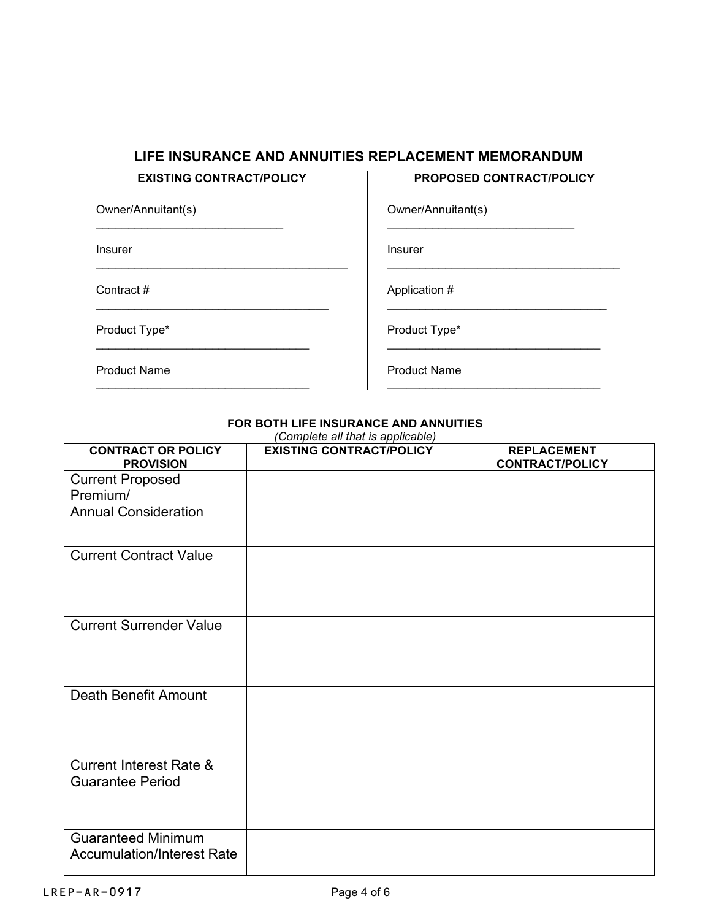## **LIFE INSURANCE AND ANNUITIES REPLACEMENT MEMORANDUM**

\_\_\_\_\_\_\_\_\_\_\_\_\_\_\_\_\_\_\_\_\_\_\_\_\_\_\_\_\_\_\_\_\_\_\_\_\_\_\_

\_\_\_\_\_\_\_\_\_\_\_\_\_\_\_\_\_\_\_\_\_\_\_\_\_\_\_\_\_\_\_\_\_\_\_\_

\_\_\_\_\_\_\_\_\_\_\_\_\_\_\_\_\_\_\_\_\_\_\_\_\_\_\_\_\_\_\_\_\_

\_\_\_\_\_\_\_\_\_\_\_\_\_\_\_\_\_\_\_\_\_\_\_\_\_\_\_\_\_\_\_\_\_

\_\_\_\_\_\_\_\_\_\_\_\_\_\_\_\_\_\_\_\_\_\_\_\_\_\_\_\_\_

### **EXISTING CONTRACT/POLICY PROPOSED CONTRACT/POLICY**

\_\_\_\_\_\_\_\_\_\_\_\_\_\_\_\_\_\_\_\_\_\_\_\_\_\_\_\_\_\_\_\_\_\_\_\_

\_\_\_\_\_\_\_\_\_\_\_\_\_\_\_\_\_\_\_\_\_\_\_\_\_\_\_\_\_\_\_\_\_

\_\_\_\_\_\_\_\_\_\_\_\_\_\_\_\_\_\_\_\_\_\_\_\_\_\_\_\_\_\_\_\_\_

\_\_\_\_\_\_\_\_\_\_\_\_\_\_\_\_\_\_\_\_\_\_\_\_\_\_\_\_\_

Owner/Annuitant(s)

Insurer

Contract #

Product Type\*

\_\_\_\_\_\_\_\_\_\_\_\_\_\_\_\_\_\_\_\_\_\_\_\_\_\_\_\_\_\_\_\_\_\_ Product Type\*

Application #

Insurer

Owner/Annuitant(s)

Product Name

Product Name

#### **FOR BOTH LIFE INSURANCE AND ANNUITIES**

| (Complete all that is applicable)                              |                                 |                                              |  |
|----------------------------------------------------------------|---------------------------------|----------------------------------------------|--|
| <b>CONTRACT OR POLICY</b><br><b>PROVISION</b>                  | <b>EXISTING CONTRACT/POLICY</b> | <b>REPLACEMENT</b><br><b>CONTRACT/POLICY</b> |  |
| <b>Current Proposed</b>                                        |                                 |                                              |  |
| Premium/                                                       |                                 |                                              |  |
| <b>Annual Consideration</b>                                    |                                 |                                              |  |
| <b>Current Contract Value</b>                                  |                                 |                                              |  |
| <b>Current Surrender Value</b>                                 |                                 |                                              |  |
| <b>Death Benefit Amount</b>                                    |                                 |                                              |  |
| <b>Current Interest Rate &amp;</b><br><b>Guarantee Period</b>  |                                 |                                              |  |
| <b>Guaranteed Minimum</b><br><b>Accumulation/Interest Rate</b> |                                 |                                              |  |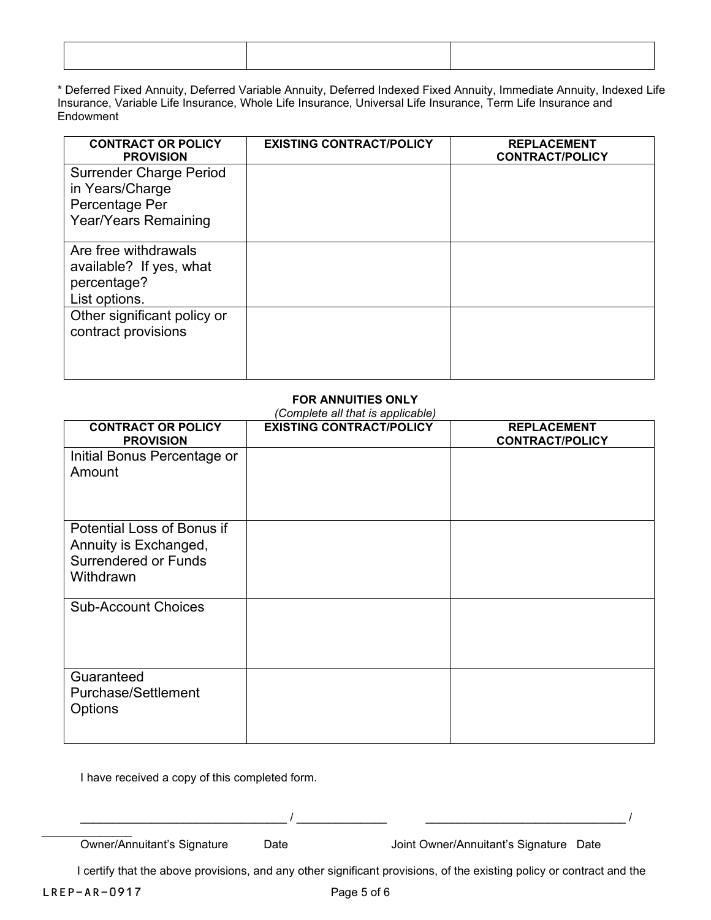\* Deferred Fixed Annuity, Deferred Variable Annuity, Deferred Indexed Fixed Annuity, Immediate Annuity, Indexed Life Insurance, Variable Life Insurance, Whole Life Insurance, Universal Life Insurance, Term Life Insurance and Endowment

| <b>CONTRACT OR POLICY</b><br><b>PROVISION</b>                                                      | <b>EXISTING CONTRACT/POLICY</b> | <b>REPLACEMENT</b><br><b>CONTRACT/POLICY</b> |
|----------------------------------------------------------------------------------------------------|---------------------------------|----------------------------------------------|
| <b>Surrender Charge Period</b><br>in Years/Charge<br>Percentage Per<br><b>Year/Years Remaining</b> |                                 |                                              |
| Are free withdrawals<br>available? If yes, what<br>percentage?<br>List options.                    |                                 |                                              |
| Other significant policy or<br>contract provisions                                                 |                                 |                                              |

# **FOR ANNUITIES ONLY**

| <b>CONTRACT OR POLICY</b><br><b>PROVISION</b>                                                   | <b>EXISTING CONTRACT/POLICY</b> | <b>REPLACEMENT</b><br><b>CONTRACT/POLICY</b> |
|-------------------------------------------------------------------------------------------------|---------------------------------|----------------------------------------------|
| Initial Bonus Percentage or<br>Amount                                                           |                                 |                                              |
| Potential Loss of Bonus if<br>Annuity is Exchanged,<br><b>Surrendered or Funds</b><br>Withdrawn |                                 |                                              |
| <b>Sub-Account Choices</b>                                                                      |                                 |                                              |
| Guaranteed<br><b>Purchase/Settlement</b><br><b>Options</b>                                      |                                 |                                              |

I have received a copy of this completed form.

\_\_\_\_\_\_\_\_\_\_\_\_\_\_

Owner/Annuitant's Signature Date Date Joint Owner/Annuitant's Signature Date

\_\_\_\_\_\_\_\_\_\_\_\_\_\_\_\_\_\_\_\_\_\_\_\_\_\_\_\_\_\_\_\_ / \_\_\_\_\_\_\_\_\_\_\_\_\_\_ \_\_\_\_\_\_\_\_\_\_\_\_\_\_\_\_\_\_\_\_\_\_\_\_\_\_\_\_\_\_\_ /

I certify that the above provisions, and any other significant provisions, of the existing policy or contract and the